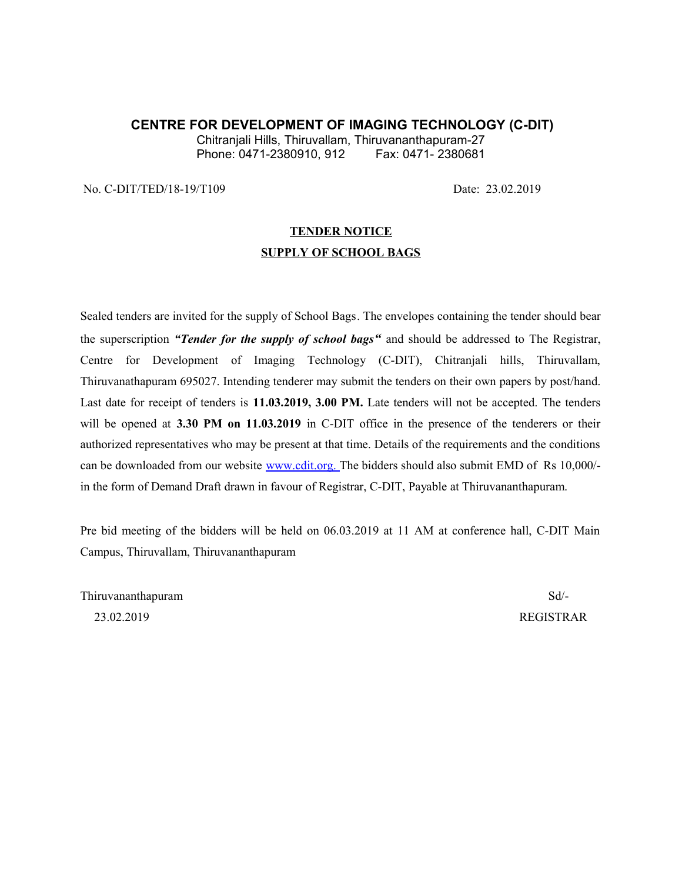### **CENTRE FOR DEVELOPMENT OF IMAGING TECHNOLOGY (C-DIT)**

Chitranjali Hills, Thiruvallam, Thiruvananthapuram-27 Phone: 0471-2380910, 912

No. C-DIT/TED/18-19/T109 Date: 23.02.2019

# **TENDER NOTICE SUPPLY OF SCHOOL BAGS**

Sealed tenders are invited for the supply of School Bags. The envelopes containing the tender should bear the superscription *"Tender for the supply of school bags"* and should be addressed to The Registrar, Centre for Development of Imaging Technology (C-DIT), Chitranjali hills, Thiruvallam, Thiruvanathapuram 695027. Intending tenderer may submit the tenders on their own papers by post/hand. Last date for receipt of tenders is **11.03.2019, 3.00 PM.** Late tenders will not be accepted. The tenders will be opened at **3.30 PM on 11.03.2019** in C-DIT office in the presence of the tenderers or their authorized representatives who may be present at that time. Details of the requirements and the conditions can be downloaded from our website [www.cdit.org.](http://www.cdit.org/) The bidders should also submit EMD of Rs 10,000/in the form of Demand Draft drawn in favour of Registrar, C-DIT, Payable at Thiruvananthapuram.

Pre bid meeting of the bidders will be held on 06.03.2019 at 11 AM at conference hall, C-DIT Main Campus, Thiruvallam, Thiruvananthapuram

Thiruvananthapuram Sd/- 23.02.2019 REGISTRAR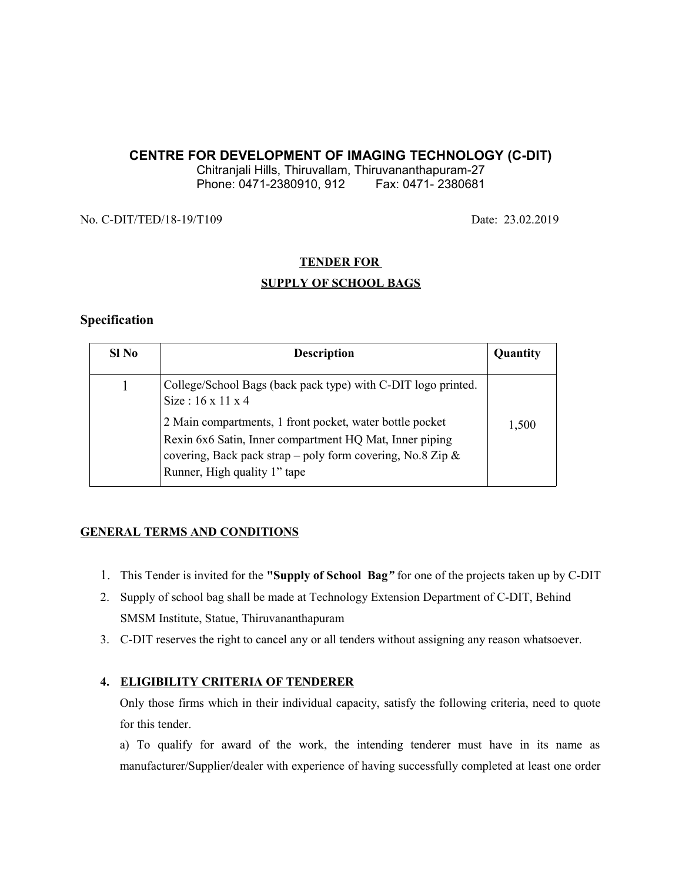### **CENTRE FOR DEVELOPMENT OF IMAGING TECHNOLOGY (C-DIT)**

Chitranjali Hills, Thiruvallam, Thiruvananthapuram-27 Phone: 0471-2380910, 912 Fax: 0471-2380681

No. C-DIT/TED/18-19/T109 Date: 23.02.2019

#### **TENDER FOR**

### **SUPPLY OF SCHOOL BAGS**

#### **Specification**

| SI No | <b>Description</b>                                                                                                                                                                                                | Quantity |
|-------|-------------------------------------------------------------------------------------------------------------------------------------------------------------------------------------------------------------------|----------|
|       | College/School Bags (back pack type) with C-DIT logo printed.<br>Size: $16 \times 11 \times 4$                                                                                                                    |          |
|       | 2 Main compartments, 1 front pocket, water bottle pocket<br>Rexin 6x6 Satin, Inner compartment HQ Mat, Inner piping<br>covering, Back pack strap - poly form covering, No.8 Zip &<br>Runner, High quality 1" tape | 1,500    |

#### **GENERAL TERMS AND CONDITIONS**

- 1. This Tender is invited for the **"Supply of School Bag***"* for one of the projects taken up by C-DIT
- 2. Supply of school bag shall be made at Technology Extension Department of C-DIT, Behind SMSM Institute, Statue, Thiruvananthapuram
- 3. C-DIT reserves the right to cancel any or all tenders without assigning any reason whatsoever.

#### **4. ELIGIBILITY CRITERIA OF TENDERER**

Only those firms which in their individual capacity, satisfy the following criteria, need to quote for this tender.

a) To qualify for award of the work, the intending tenderer must have in its name as manufacturer/Supplier/dealer with experience of having successfully completed at least one order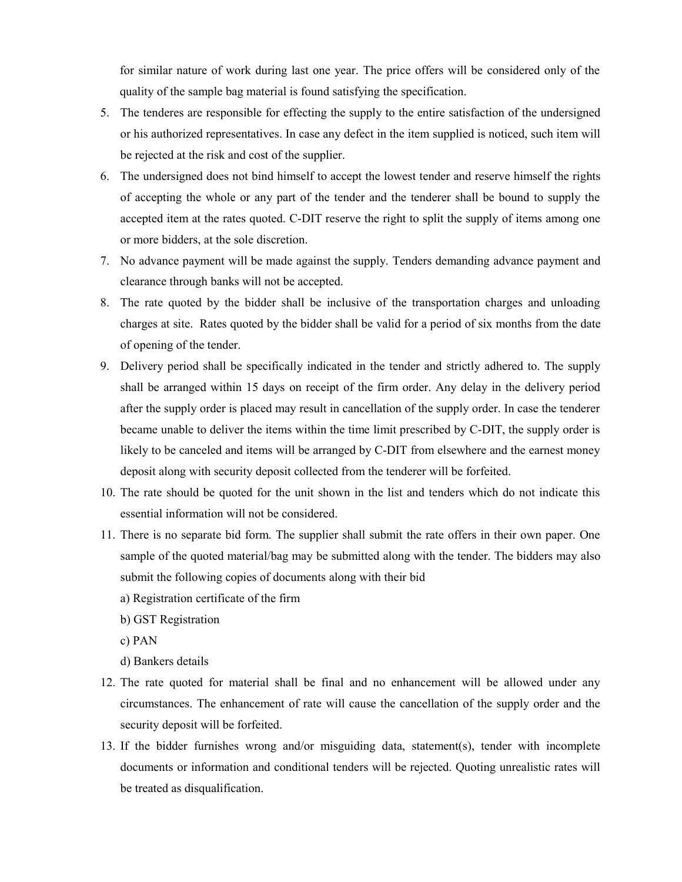for similar nature of work during last one year. The price offers will be considered only of the quality of the sample bag material is found satisfying the specification.

- 5. The tenderes are responsible for effecting the supply to the entire satisfaction of the undersigned or his authorized representatives. In case any defect in the item supplied is noticed, such item will be rejected at the risk and cost of the supplier.
- 6. The undersigned does not bind himself to accept the lowest tender and reserve himself the rights of accepting the whole or any part of the tender and the tenderer shall be bound to supply the accepted item at the rates quoted. C-DIT reserve the right to split the supply of items among one or more bidders, at the sole discretion.
- 7. No advance payment will be made against the supply. Tenders demanding advance payment and clearance through banks will not be accepted.
- 8. The rate quoted by the bidder shall be inclusive of the transportation charges and unloading charges at site. Rates quoted by the bidder shall be valid for a period of six months from the date of opening of the tender.
- 9. Delivery period shall be specifically indicated in the tender and strictly adhered to. The supply shall be arranged within 15 days on receipt of the firm order. Any delay in the delivery period after the supply order is placed may result in cancellation of the supply order. In case the tenderer became unable to deliver the items within the time limit prescribed by C-DIT, the supply order is likely to be canceled and items will be arranged by C-DIT from elsewhere and the earnest money deposit along with security deposit collected from the tenderer will be forfeited.
- 10. The rate should be quoted for the unit shown in the list and tenders which do not indicate this essential information will not be considered.
- 11. There is no separate bid form. The supplier shall submit the rate offers in their own paper. One sample of the quoted material/bag may be submitted along with the tender. The bidders may also submit the following copies of documents along with their bid
	- a) Registration certificate of the firm
	- b) GST Registration
	- c) PAN
	- d) Bankers details
- 12. The rate quoted for material shall be final and no enhancement will be allowed under any circumstances. The enhancement of rate will cause the cancellation of the supply order and the security deposit will be forfeited.
- 13. If the bidder furnishes wrong and/or misguiding data, statement(s), tender with incomplete documents or information and conditional tenders will be rejected. Quoting unrealistic rates will be treated as disqualification.